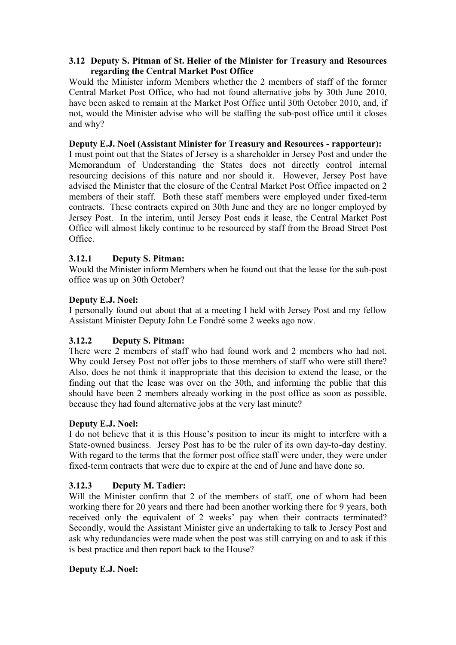#### **3.12 Deputy S. Pitman of St. Helier of the Minister for Treasury and Resources regarding the Central Market Post Office**

Would the Minister inform Members whether the 2 members of staff of the former Central Market Post Office, who had not found alternative jobs by 30th June 2010, have been asked to remain at the Market Post Office until 30th October 2010, and, if not, would the Minister advise who will be staffing the sub-post office until it closes and why?

### **Deputy E.J. Noel (Assistant Minister for Treasury and Resources - rapporteur):**

I must point out that the States of Jersey is a shareholder in Jersey Post and under the Memorandum of Understanding the States does not directly control internal resourcing decisions of this nature and nor should it. However, Jersey Post have advised the Minister that the closure of the Central Market Post Office impacted on 2 members of their staff. Both these staff members were employed under fixed-term contracts. These contracts expired on 30th June and they are no longer employed by Jersey Post. In the interim, until Jersey Post ends it lease, the Central Market Post Office will almost likely continue to be resourced by staff from the Broad Street Post Office.

### **3.12.1 Deputy S. Pitman:**

Would the Minister inform Members when he found out that the lease for the sub-post office was up on 30th October?

### **Deputy E.J. Noel:**

I personally found out about that at a meeting I held with Jersey Post and my fellow Assistant Minister Deputy John Le Fondré some 2 weeks ago now.

# **3.12.2 Deputy S. Pitman:**

There were 2 members of staff who had found work and 2 members who had not. Why could Jersey Post not offer jobs to those members of staff who were still there? Also, does he not think it inappropriate that this decision to extend the lease, or the finding out that the lease was over on the 30th, and informing the public that this should have been 2 members already working in the post office as soon as possible, because they had found alternative jobs at the very last minute?

### **Deputy E.J. Noel:**

I do not believe that it is this House's position to incur its might to interfere with a State-owned business. Jersey Post has to be the ruler of its own day-to-day destiny. With regard to the terms that the former post office staff were under, they were under fixed-term contracts that were due to expire at the end of June and have done so.

### **3.12.3 Deputy M. Tadier:**

Will the Minister confirm that 2 of the members of staff, one of whom had been working there for 20 years and there had been another working there for 9 years, both received only the equivalent of 2 weeks' pay when their contracts terminated? Secondly, would the Assistant Minister give an undertaking to talk to Jersey Post and ask why redundancies were made when the post was still carrying on and to ask if this is best practice and then report back to the House?

### **Deputy E.J. Noel:**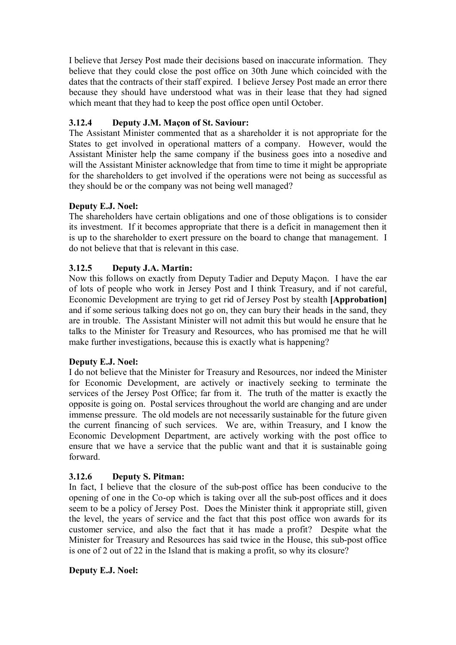I believe that Jersey Post made their decisions based on inaccurate information. They believe that they could close the post office on 30th June which coincided with the dates that the contracts of their staff expired. I believe Jersey Post made an error there because they should have understood what was in their lease that they had signed which meant that they had to keep the post office open until October.

# **3.12.4 Deputy J.M. Maçon of St. Saviour:**

The Assistant Minister commented that as a shareholder it is not appropriate for the States to get involved in operational matters of a company. However, would the Assistant Minister help the same company if the business goes into a nosedive and will the Assistant Minister acknowledge that from time to time it might be appropriate for the shareholders to get involved if the operations were not being as successful as they should be or the company was not being well managed?

# **Deputy E.J. Noel:**

The shareholders have certain obligations and one of those obligations is to consider its investment. If it becomes appropriate that there is a deficit in management then it is up to the shareholder to exert pressure on the board to change that management. I do not believe that that is relevant in this case.

# **3.12.5 Deputy J.A. Martin:**

Now this follows on exactly from Deputy Tadier and Deputy Maçon. I have the ear of lots of people who work in Jersey Post and I think Treasury, and if not careful, Economic Development are trying to get rid of Jersey Post by stealth **[Approbation]**  and if some serious talking does not go on, they can bury their heads in the sand, they are in trouble. The Assistant Minister will not admit this but would he ensure that he talks to the Minister for Treasury and Resources, who has promised me that he will make further investigations, because this is exactly what is happening?

# **Deputy E.J. Noel:**

I do not believe that the Minister for Treasury and Resources, nor indeed the Minister for Economic Development, are actively or inactively seeking to terminate the services of the Jersey Post Office; far from it. The truth of the matter is exactly the opposite is going on. Postal services throughout the world are changing and are under immense pressure. The old models are not necessarily sustainable for the future given the current financing of such services. We are, within Treasury, and I know the Economic Development Department, are actively working with the post office to ensure that we have a service that the public want and that it is sustainable going forward.

# **3.12.6 Deputy S. Pitman:**

In fact, I believe that the closure of the sub-post office has been conducive to the opening of one in the Co-op which is taking over all the sub-post offices and it does seem to be a policy of Jersey Post. Does the Minister think it appropriate still, given the level, the years of service and the fact that this post office won awards for its customer service, and also the fact that it has made a profit? Despite what the Minister for Treasury and Resources has said twice in the House, this sub-post office is one of 2 out of 22 in the Island that is making a profit, so why its closure?

### **Deputy E.J. Noel:**